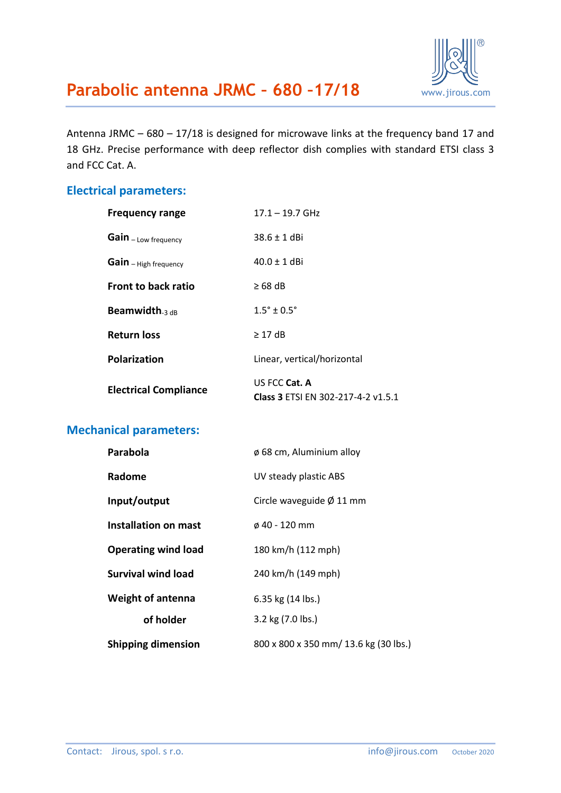

Antenna JRMC – 680 – 17/18 is designed for microwave links at the frequency band 17 and 18 GHz. Precise performance with deep reflector dish complies with standard ETSI class 3 and FCC Cat. A.

#### **Electrical parameters:**

| <b>Frequency range</b>       | $17.1 - 19.7$ GHz                                   |  |
|------------------------------|-----------------------------------------------------|--|
| Gain - Low frequency         | $38.6 \pm 1$ dBi                                    |  |
| Gain - High frequency        | $40.0 \pm 1$ dBi                                    |  |
| <b>Front to back ratio</b>   | $\geq 68$ dB                                        |  |
| Beamwidth $_{3\text{ dB}}$   | $1.5^{\circ} \pm 0.5^{\circ}$                       |  |
| <b>Return loss</b>           | $\geq$ 17 dB                                        |  |
| <b>Polarization</b>          | Linear, vertical/horizontal                         |  |
| <b>Electrical Compliance</b> | US FCC Cat. A<br>Class 3 ETSI EN 302-217-4-2 v1.5.1 |  |

### **Mechanical parameters:**

| Parabola                    | $\phi$ 68 cm, Aluminium alloy         |  |
|-----------------------------|---------------------------------------|--|
| Radome                      | UV steady plastic ABS                 |  |
| Input/output                | Circle waveguide $\varnothing$ 11 mm  |  |
| <b>Installation on mast</b> | $\varphi$ 40 - 120 mm                 |  |
| <b>Operating wind load</b>  | 180 km/h (112 mph)                    |  |
| <b>Survival wind load</b>   | 240 km/h (149 mph)                    |  |
| <b>Weight of antenna</b>    | 6.35 kg (14 lbs.)                     |  |
| of holder                   | 3.2 kg (7.0 lbs.)                     |  |
| <b>Shipping dimension</b>   | 800 x 800 x 350 mm/ 13.6 kg (30 lbs.) |  |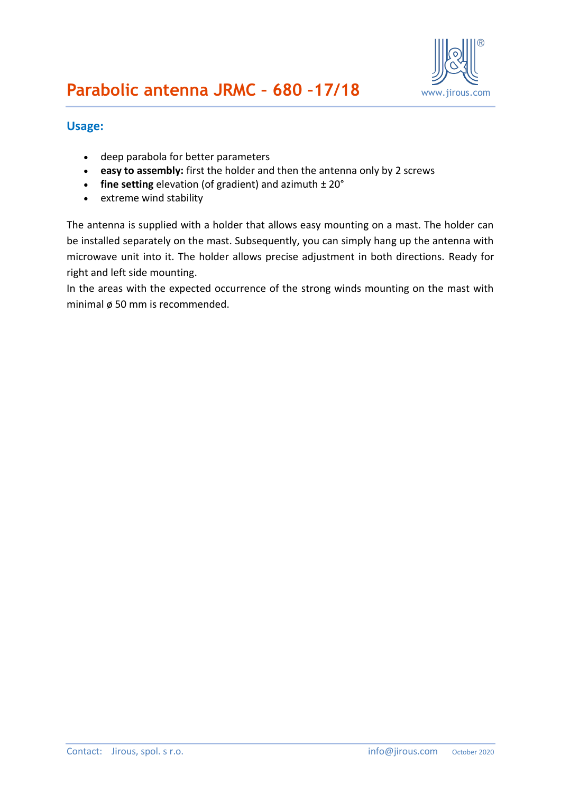

### **Usage:**

- deep parabola for better parameters
- **easy to assembly:** first the holder and then the antenna only by 2 screws
- **fine setting** elevation (of gradient) and azimuth  $\pm 20^{\circ}$
- extreme wind stability

The antenna is supplied with a holder that allows easy mounting on a mast. The holder can be installed separately on the mast. Subsequently, you can simply hang up the antenna with microwave unit into it. The holder allows precise adjustment in both directions. Ready for right and left side mounting.

In the areas with the expected occurrence of the strong winds mounting on the mast with minimal ø 50 mm is recommended.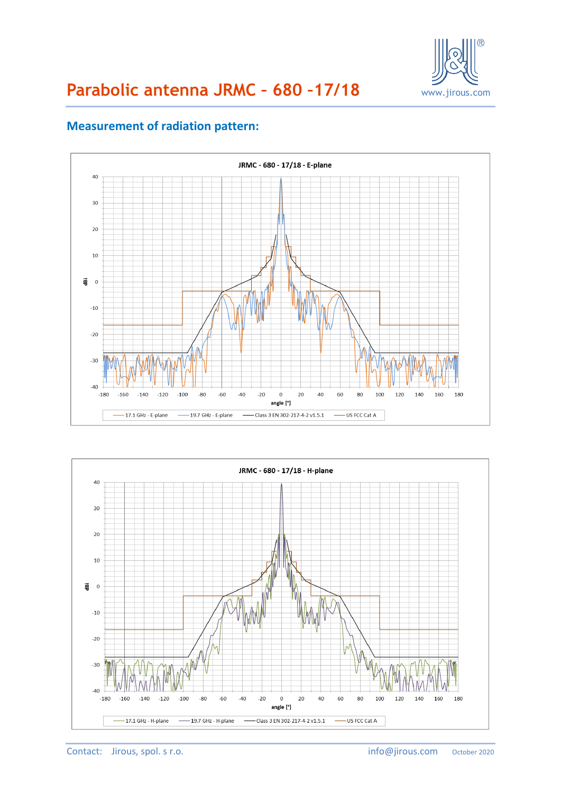

# **Parabolic antenna JRMC – 680 –17/18** www.jirous.com

#### JRMC - 680 - 17/18 - E-plane 40  $30$ 20  $10$ 粤 0  $-10$  $-20$  $-30$  $-40$  $-180$  $-160$  $-140$  $-120$  $-100$  $-80$  $-60$  $-40$  $-20$  $\overline{0}$ 20 40 60 80 100 120 140 160 180 angle  $[°]$ -- 19.7 GHz - E-plane - Class 3 EN 302-217-4-2 v1.5.1 - US FCC Cat A

## **Measurement of radiation pattern:**

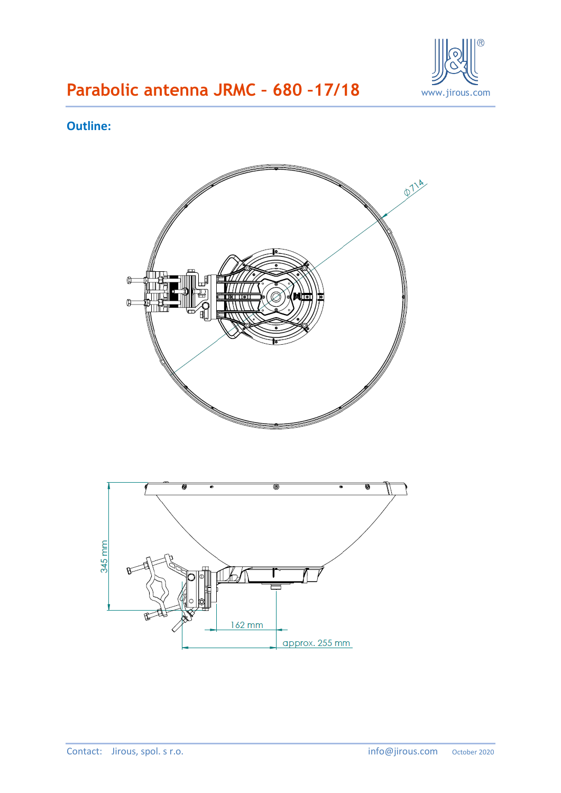

# **Parabolic antenna JRMC - 680 -17/18** WWW.jirous.com

### **Outline:**